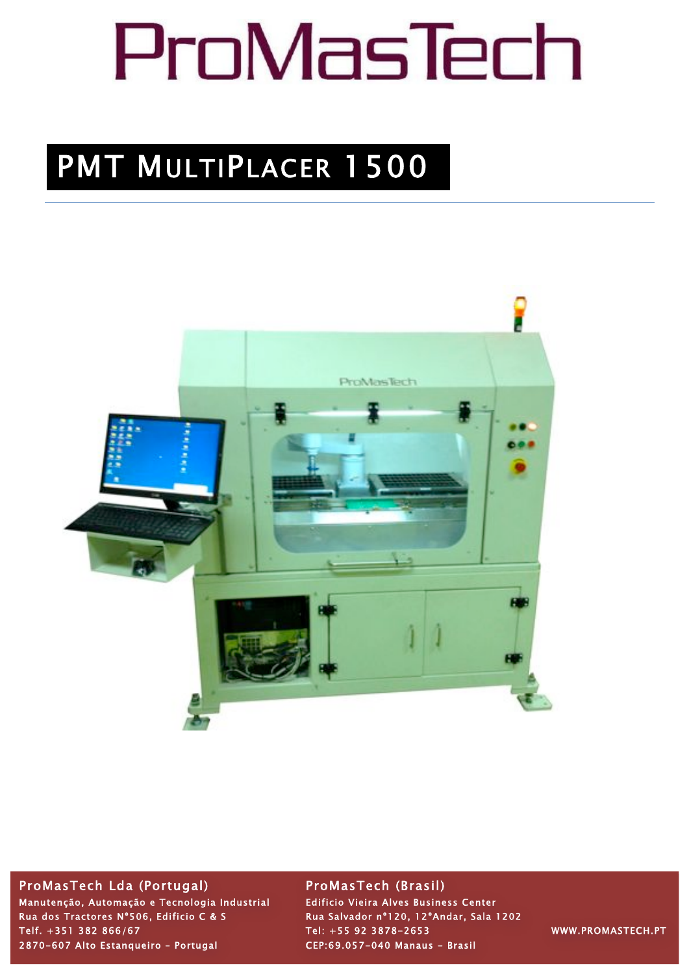# ProMasTech

## PMT MULTIPLACER 1500



### ProMasTech Lda (Portugal) ProMasTech (Brasil)

Manutenção, Automação e Tecnologia Industrial Edificio Vieira Alves Business Center Rua dos Tractores Nº506, Edificio C & S<br>Rua Salvador nº120, 12ºAndar, Sala 1202 Telf. +351 382 866/67 Tel: +55 92 3878-2653 WWW.PROMASTECH.PT 2870-607 Alto Estanqueiro – Portugal CEP:69.057-040 Manaus - Brasil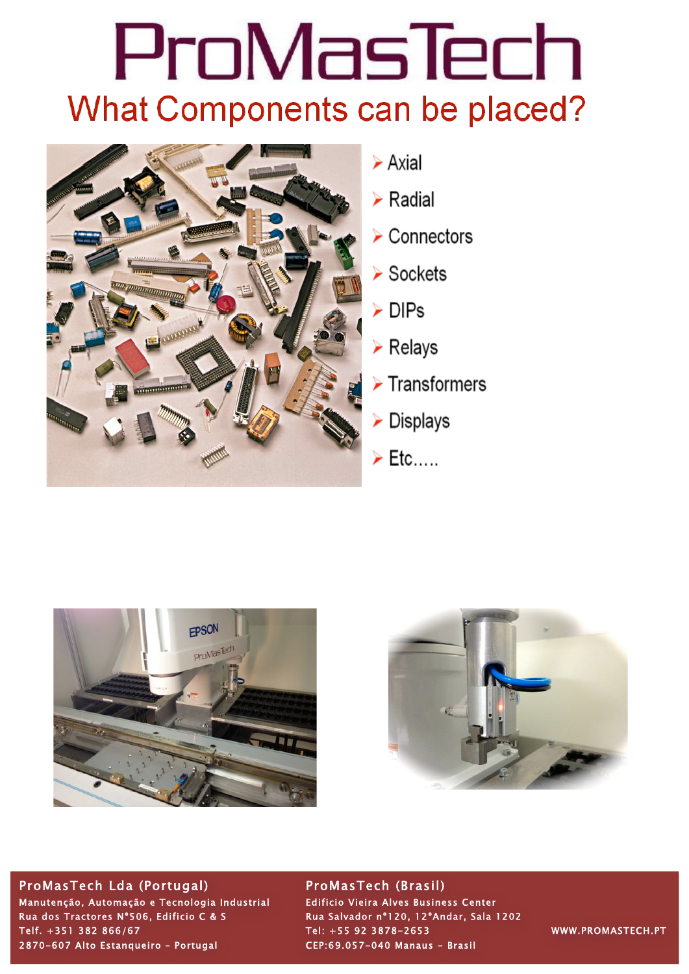## ProMasTech **What Components can be placed?**



- $\triangleright$  Axial
- $\triangleright$  Radial
- $\triangleright$  Connectors
- $\triangleright$  Sockets
- $\triangleright$  DIPs
- $\triangleright$  Relays
- $\triangleright$  Transformers
- $\triangleright$  Displays
- $\triangleright$  Etc.....





## ProMasTech Lda (Portugal) ProMasTech (Brasil)

Manutenção, Automação e Tecnologia Industrial Edificio Vieira Alves Business Center Rua dos Tractores N°506, Edificio C & S Rua Salvador nº120, 12ºAndar, Sala 1202 Telf. +351 382 866/67 Tel: +55 92 3878-2653 WWW.PROMASTECH.PT 2870-607 Alto Estanqueiro – Portugal CEP:69.057-040 Manaus - Brasil